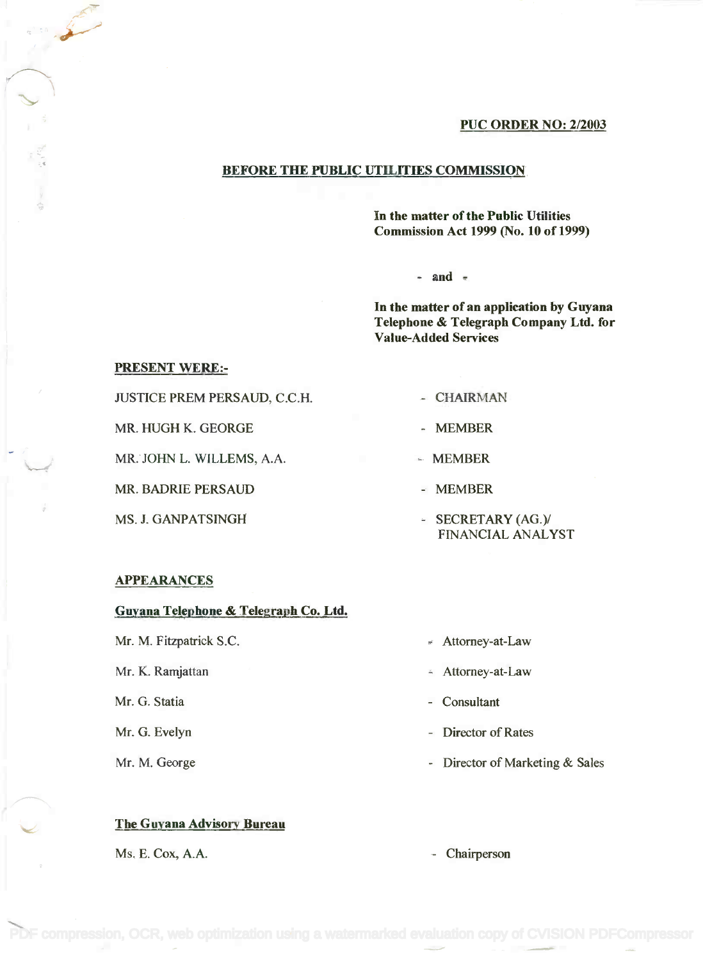#### PUC ORDER NO: 2/2003

#### BEFORE THE PUBLIC UTILITIES COMMISSION

In the matter of the Public Utilities In the matter of the Public Utilities Commission Act 1999 (No. 10 of 1999) Commission Act 1999 (No. 10 of 1999)

 $-$  and  $-$ 

In the matter of an application by Guyana In the matter of an application by Guyana Telephone & Telegraph Company Ltd. for Telephone & Telegraph Company Ltd. for Value-Added Services Value-Added Services

#### PRESENT WERE:-

 $\mathbb{R}^n$ 

JUSTICE PREM PERSAUD, C.C.H. - CHAIRMAN

MR. HUGH K. GEORGE - MEMBER

MR. JOHN L. WILLEMS, A.A. **MEMBER** 

MR. BADRIE PERSAUD - MEMBER

- 
- 
- 
- 
- MS. J. GANPATSINGH SECRETARY (AG.)/ FINANCIAL ANALYST FINANCIAL ANALYST

#### APPEARANCES

### Guyana Telephone & Telegraph Co. Ltd.

Mr. M. Fitzpatrick S.C. Same Solution of the Attorney-at-Law

Mr. K. Ramjattan  $\blacksquare$  Attorney-at-Law

Mr. G. Statia Consultant

#### The Guyana Advisory Bureau

Ms. E. Cox, A.A.  $\qquad \qquad$  Chairperson

- 
- 
- 
- Mr. G. Evelyn **Director of Rates**
- Mr. M. George  **Primary A. A. S. A. A. S. A. S. A. S. A. S. A. S. A. S. A. S. A. S. A. S. A. S. A. S. A. S. A. S. A. S. A. S. A. S. A. S. A. S. A. S. A. S. A. S. A. S. A. S. A. S. A. S. A. S. A. S. A. S. A. S. A. S. A. S.**

[PDF compression, OCR, web optimization using a watermarked evaluation copy of CVISION PDFCompressor](http://www.cvisiontech.com)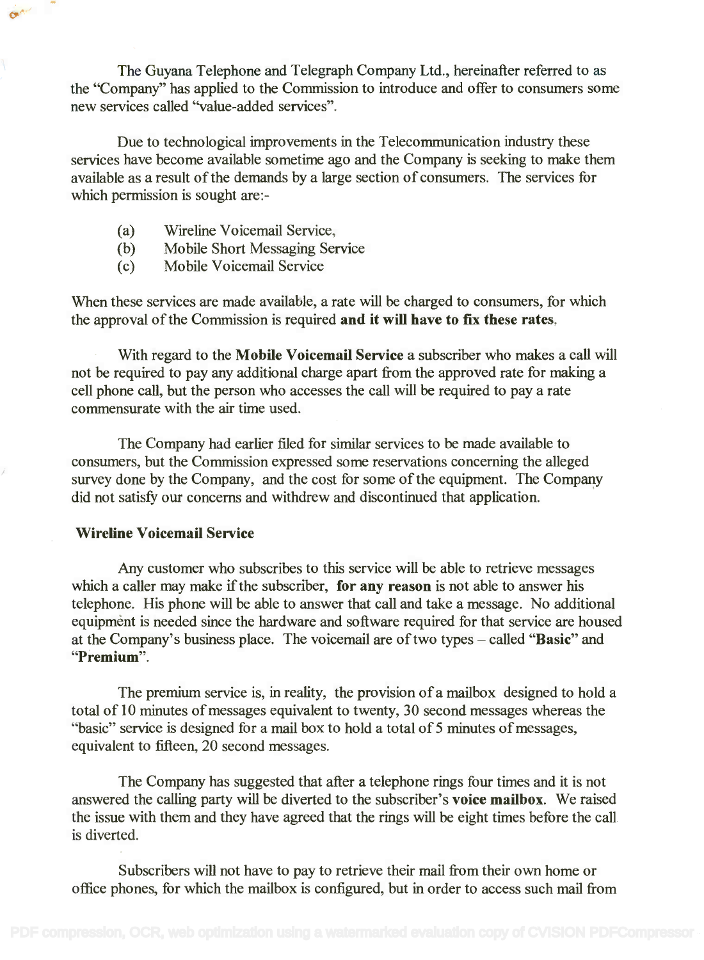The Guyana Telephone and Telegraph Company Ltd., hereinafter referred to as The Guyana Telephone and Telegraph Company Ltd., hereinafter referred to as the "Company" has applied to the Commission to introduce and offer to consumers some the "Company" has applied to the Commission to introduce and offer to consumers some new services called "value-added services". new services called "value-added services".

Due to technological improvements in the Telecommunication industry these Due to technological improvements in the Telecommunication industry these services have become available sometime ago and the Company is seeking to make them services have become available sometime ago and the Company is seeking to make them available as a result of the demands by a large section of consumers. The services for available as a result of the demands by a large section of consumers. The services for which permission is sought are:- which permission is sought are:-

- (a) Wireline Voicemail Service, (a) Wireline Voicemail Service,
- (b) Mobile Short Messaging Service (b) Mobile Short Messaging Service
- (c) Mobile Voicemail Service (c) Mobile Voicemail Service

When these services are made available, a rate will be charged to consumers, for which When these services are made available, a rate will be charged to consumers, for which the approval of the Commission is required and it will have to fix these rates.

With regard to the Mobile Voicemail Service a subscriber who makes a call will not be required to pay any additional charge apart from the approved rate for making a not be required to pay any additional charge apart from the approved rate for making a cell phone call, but the person who accesses the call will be required to pay a rate cell phone call, but the person who accesses the call will be required to pay a rate commensurate with the air time used. commensurate with the air time used.

The Company had earlier filed for similar services to be made available to The Company had earlier filed for similar services to be made available to consumers, but the Commission expressed some reservations concerning the alleged survey done by the Company, and the cost for some of the equipment. The Company survey done by the Company, and the cost for some ofthe equipment. The Company did not satisfy our concerns and withdrew and discontinued that application. did not satisfy our concerns and withdrew and discontinued that application.

### Wireline Voicemail Service

**Ohio** 

Any customer who subscribes to this service will be able to retrieve messages Any customer who subscribes to this service will be able to retrieve messages which a caller may make if the subscriber, for any reason is not able to answer his telephone. His phone will be able to answer that call and take a message. No additional telephone. His phone will be able to answer that call and take a message. No additional equipment is needed since the hardware and software required for that service are housed equipment is needed since the hardware and software required for that service are housed at the Company's business place. The voicemail are of two types – called "Basic" and "Premium". "Premium".

The premium service is, in reality, the provision of a mailbox designed to hold a The premium service is, in reality, the provision of a mailbox designed to hold a total of 10 minutes of messages equivalent to twenty, 30 second messages whereas the total of 10 minutes of messages equivalent to twenty, 30 second messages whereas the "basic" service is designed for a mail box to hold a total of 5 minutes of messages, equivalent to fifteen, 20 second messages. equivalent to fifteen, 20 second messages.

The Company has suggested that after a telephone rings four times and it is not The Company has suggested that after a telephone rings four times and it is not answered the calling party will be diverted to the subscriber's voice mailbox. We raised answered the calling party will be diverted to the subscriber's voice mailbox. We raised the issue with them and they have agreed that the rings will be eight times before the call is diverted. is diverted.

Subscribers will not have to pay to retrieve their mail from their own home or Subscribers will not have to pay to retrieve their mail from their own home or office phones, for which the mailbox is configured, but in order to access such mail from office phones, for which the mailbox is configured, but in order to access such mail from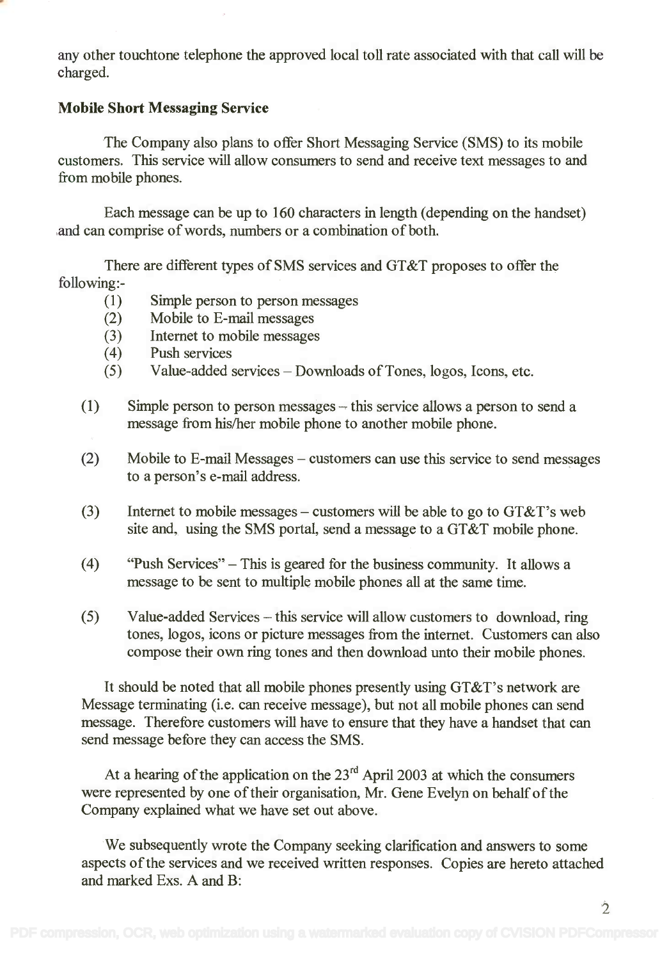any other touchtone telephone the approved local toll rate associated with that call will be any other touchtone telephone the approved local toll rate associated with that call will be charged. charged.

### Mobile Short Messaging Service

The Company also plans to offer Short Messaging Service (SMS) to its mobile The Company also plans to offer Short Messaging Service (SMS) to its mobile customers. This service will allow consumers to send and receive text messages to and customers. This service will allow consumers to send and receive text messages to and from mobile phones. from mobile phones.

Each message can be up to 160 characters in length (depending on the handset) Each message can be up to 160 characters in length (depending on the handset) and can comprise of words, numbers or a combination of both. and can comprise of words, numbers or a combination of both.

There are different types of SMS services and GT&T proposes to offer the There are different types of SMS services and GT&T proposes to offer the following: - following:-

- (1) Simple person to person messages Simple person to person messages (1)
- (2) Mobile to E-mail messages Mobile to E-mail messages (2)
- (3) Internet to mobile messages Internet to mobile messages (3)
- (4) Push services Push services (4)
- (5) Value-added services Downloads of Tones, logos, Icons, etc. Value-added services Downloads of Tones, logos, Icons, etc. (5)
- $(1)$  Simple person to person messages this service allows a person to send a message from his/her mobile phone to another mobile phone. message from hislher mobile phone to another mobile phone.
- (2) Mobile to E-mail Messages customers can use this service to send messages to a person's e-mail address. to a person's e-mail address.
- (3) Internet to mobile messages customers will be able to go to  $GT\&T$ 's web site and, using the SMS portal, send a message to a GT&T mobile phone. site and, using the SMS portal, send a message to a GT&T mobile phone.
- (4) "Push Services" This is geared for the business community. It allows a (4) "Push Services" This isgeared for the business community. It allows a message to be sent to multiple mobile phones all at the same time. message to be sent to multiple mobile phones all at the same time.
- (5) Value-added Services this service will allow customers to download, ring tones, logos, icons or picture messages from the internet. Customers can also tones, logos, icons or picture messages from the internet. Customers can also compose their own ring tones and then download unto their mobile phones. compose their own ring tones and then download unto their mobile phones.

It should be noted that all mobile phones presently using GT&T's network are It should be noted that all mobile phones presently using GT&T's network are Message terminating (i.e. can receive message), but not all mobile phones can send Message terminating (i.e. can receive message), but not all mobile phones can send message. Therefore customers will have to ensure that they have a handset that can message. Therefore customers will have to ensure that they have a handset that can send message before they can access the SMS. send message before they can access the SMS.

At a hearing of the application on the  $23<sup>rd</sup>$  April 2003 at which the consumers were represented by one of their organisation, Mr. Gene Evelyn on behalf of the were represented by one oftheir organisation, Mr. Gene Evelyn on behalf of the Company explained what we have set out above. Company explained what we have set out above.

We subsequently wrote the Company seeking clarification and answers to some We subsequently wrote the Company seeking clarification and answers to some aspects of the services and we received written responses. Copies are hereto attached aspects of the services and we received written responses. Copies are hereto attached and marked Exs. A and B: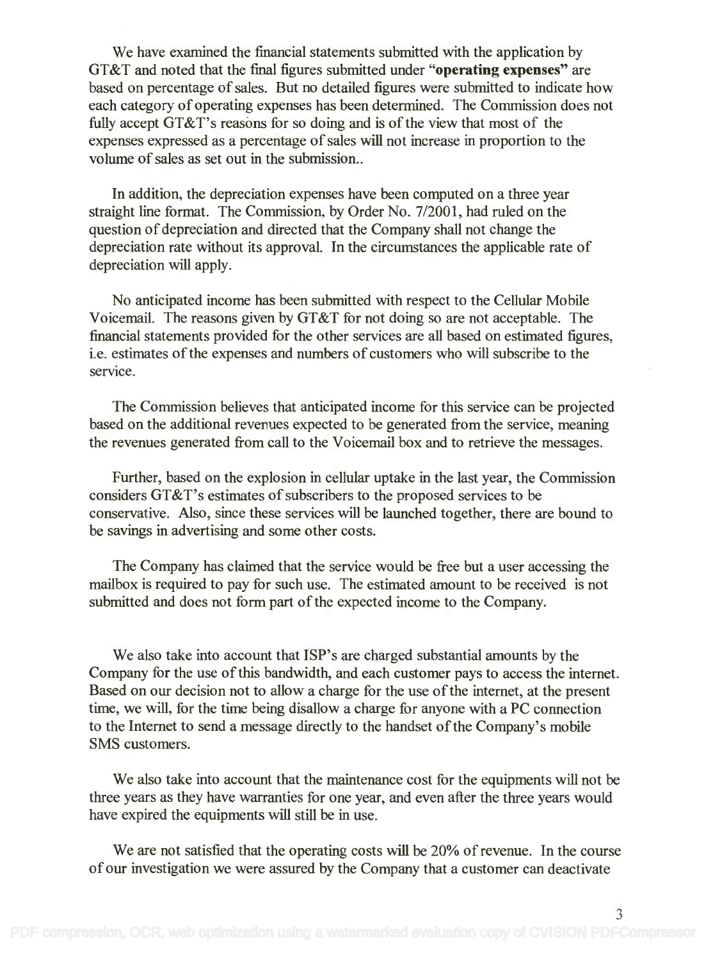We have examined the financial statements submitted with the application by We have examined the financial statements submitted with the application by GT&T and noted that the final figures submitted under "operating expenses" are based on percentage of sales. But no detailed figures were submitted to indicate how based on percentage of sales. But no detailed figures were submitted to indicate how each category of operating expenses has been determined. The Commission does not fully accept  $GT\&T$ 's reasons for so doing and is of the view that most of the expenses expressed as a percentage of sales will not increase in proportion to the expenses expressed as a percentage of sales will not increase in proportion to the volume of sales as set out in the submission.. volume of sales as set out in the submission ..

In addition, the depreciation expenses have been computed on a three year In addition, the depreciation expenses have been computed on a three year straight line format. The Commission, by Order No. 7/2001, had ruled on the straight line format. The Commission, by Order No. *712001,* had ruled on the question of depreciation and directed that the Company shall not change the question of depreciation and directed that the Company shall not change the depreciation rate without its approval. In the circumstances the applicable rate of depreciation rate without its approval. In the circumstances the applicable rate of depreciation will apply. depreciation will apply.

No anticipated income has been submitted with respect to the Cellular Mobile No anticipated income has been submitted with respect to the Cellular Mobile Voicemail. The reasons given by GT&T for not doing so are not acceptable. The Voicemail. The reasons given by GT&T for not doing so are not acceptable. The financial statements provided for the other services are all based on estimated figures, financial statements provided for the other services are all based on estimated figures, i.e. estimates of the expenses and numbers of customers who will subscribe to the i.e. estimates of the expenses and numbers of customers who will subscribe to the service.

The Commission believes that anticipated income for this service can be projected The Commission believes that anticipated income for this service can be projected based on the additional revenues expected to be generated from the service, meaning based on the additional revenues expected to be generated from the service, meaning the revenues generated from call to the Voicemail box and to retrieve the messages. the revenues generated from call to the Voicemail box and to retrieve the messages.

Further, based on the explosion in cellular uptake in the last year, the Commission Further, based on the explosion in cellular uptake in the last year, the Commission considers GT&T's estimates of subscribers to the proposed services to be considers GT&T's estimates of subscribers to the proposed services to be conservative. Also, since these services will be launched together, there are bound to conservative. Also, since these services will be launched together, there are bound to be savings in advertising and some other costs. be savings in advertising and some other costs.

The Company has claimed that the service would be free but a user accessing the The Company has claimed that the service would be free but a user accessing the mailbox is required to pay for such use. The estimated amount to be received is not mailbox is required to pay for such use. The estimated amount to be received is not submitted and does not form part of the expected income to the Company. submitted and does not form part of the expected income to the Company.

We also take into account that ISP's are charged substantial amounts by the We also take into account that ISP's are charged substantial amounts by the Company for the use of this bandwidth, and each customer pays to access the internet. Company for the use of this bandwidth, and each customer pays to access the internet. Based on our decision not to allow a charge for the use of the internet, at the present Based on our decision not to allow a charge for the use of the internet, at the present time, we will, for the time being disallow a charge for anyone with a PC connection time, we will, for the time being disallow a charge for anyone with a PC connection to the Internet to send a message directly to the handset of the Company's mobile to the Internet to send a message directly to the handset of the Company's mobile SMS customers. SMS customers.

We also take into account that the maintenance cost for the equipments will not be We also take into account that the maintenance cost for the equipments will not be three years as they have warranties for one year, and even after the three years would have expired the equipments will still be in use. have expired the equipments will still be in use.

We are not satisfied that the operating costs will be 20% of revenue. In the course We are not satisfied that the operating costs will be 20% of revenue. In the course of our investigation we were assured by the Company that a customer can deactivate of our investigation we were assured by the Company that a customer can deactivate

3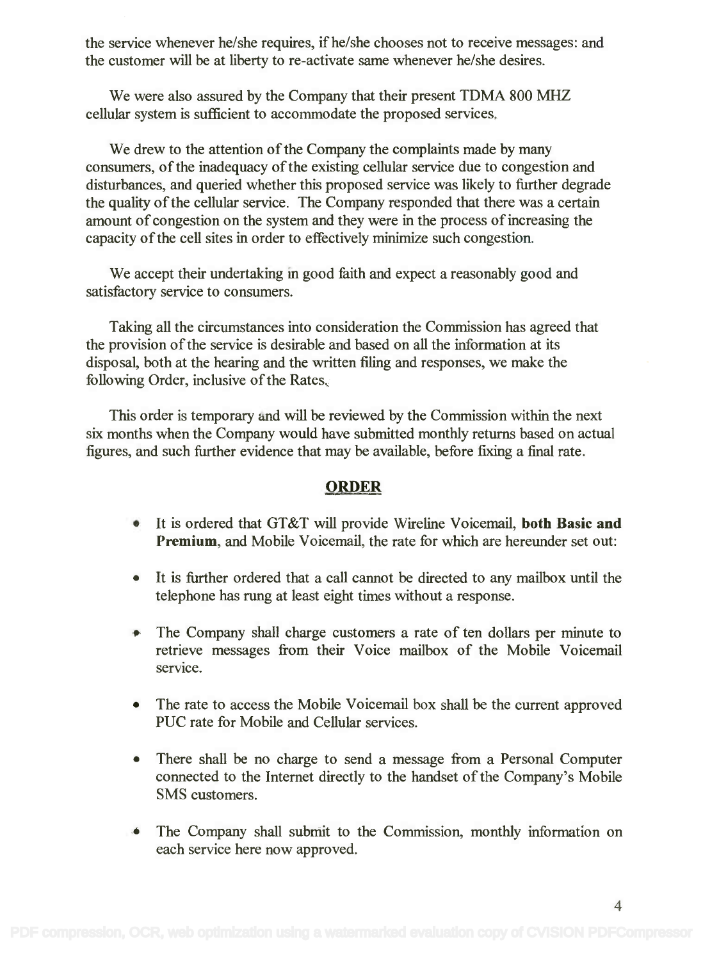the service whenever he/she requires, if he/she chooses not to receive messages: and the customer will be at liberty to re-activate same whenever he/she desires. the customer will be at liberty to re-activate same whenever he/she desires.

We were also assured by the Company that their present TDMA 800 MHZ We were also assured by the Company that their present TDMA 800 MHZ cellular system is sufficient to accommodate the proposed services. cellular system is sufficient to accommodate the proposed services.

We drew to the attention of the Company the complaints made by many consumers, of the inadequacy of the existing cellular service due to congestion and disturbances, and queried whether this proposed service was likely to further degrade disturbances, and queried whether this proposed service was likely to further degrade the quality of the cellular service. The Company responded that there was a certain amount of congestion on the system and they were in the process of increasing the amount of congestion on the system and they were in the process of increasing the capacity of the cell sites in order to effectively minimize such congestion. capacity of the cell sites in order to effectively minimize such congestion.

We accept their undertaking in good faith and expect a reasonably good and We accept their undertaking m good faith and expect a reasonably good and satisfactory service to consumers. satisfactory service to consumers.

Taking all the circumstances into consideration the Commission has agreed that Taking all the circumstances into consideration the Commission has agreed that the provision of the service is desirable and based on all the information at its the provision of the service is desirable and based on all the information at its disposal, both at the hearing and the written filing and responses, we make the disposal, both at the hearing and the written filing and responses, we make the following Order, inclusive of the Rates. following Order, inclusive of the Rates.

This order is temporary and will be reviewed by the Commission within the next This order is temporary and will be reviewed by the Commission within the next six months when the Company would have submitted monthly returns based on actual six months when the Company would have submitted monthly returns based on actual figures, and such further evidence that may be available, before fixing a final rate. figures, and such further evidence that may be available, before fixing a final rate.

### ORDER

- It is ordered that GT&T will provide Wireline Voicemail, both Basic and It is ordered that GT&T will provide Wire line Voicemail, **both Basic and** Premium, and Mobile Voicemail, the rate for which are hereunder set out: **Premium,** and Mobile Voicemail, the rate for which are hereunder set out:
- It is further ordered that a call cannot be directed to any mailbox until the It is further ordered that a call cannot be directed to any mailbox until the telephone has rung at least eight times without a response. telephone has rung at least eight times without a response.
- The Company shall charge customers a rate of ten dollars per minute to The Company shall charge customers a rate of ten dollars per minute to retrieve messages from their Voice mailbox of the Mobile Voicemail service.
- The rate to access the Mobile Voicemail box shall be the current approved PUC rate for Mobile and Cellular services. PUC rate for Mobile and Cellular services.
- There shall be no charge to send a message from a Personal Computer There shall be no charge to send a message from a Personal Computer connected to the Internet directly to the handset of the Company's Mobile connected to the Internet directly to the handset of the Company's Mobile SMS customers. SMS customers.
- The Company shall submit to the Commission, monthly information on The Company shall submit to the Commission, monthly information on each service here now approved. each service here now approved.

4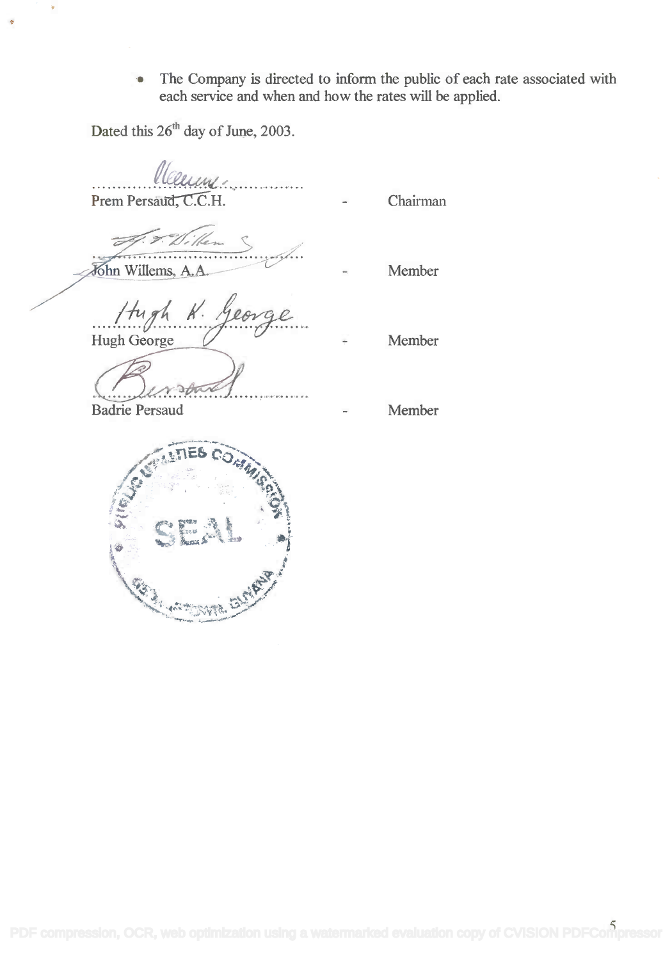• The Company is directed to inform the public of each rate associated with each service and when and how the rates will be applied. each service and when and how the rates will be applied.

Dated this  $26<sup>th</sup>$  day of June, 2003.

*lleering .............* Prem Persau<del>d, C.C.H.</del> Prem Persaud, C.C.H. John Willems, A.A. Member *Hugh K. Georg* Hugh George **Communist Communist Communist Communist Communist Communist Communist Communist Communist Communist** Member

Badrie Persaud Member

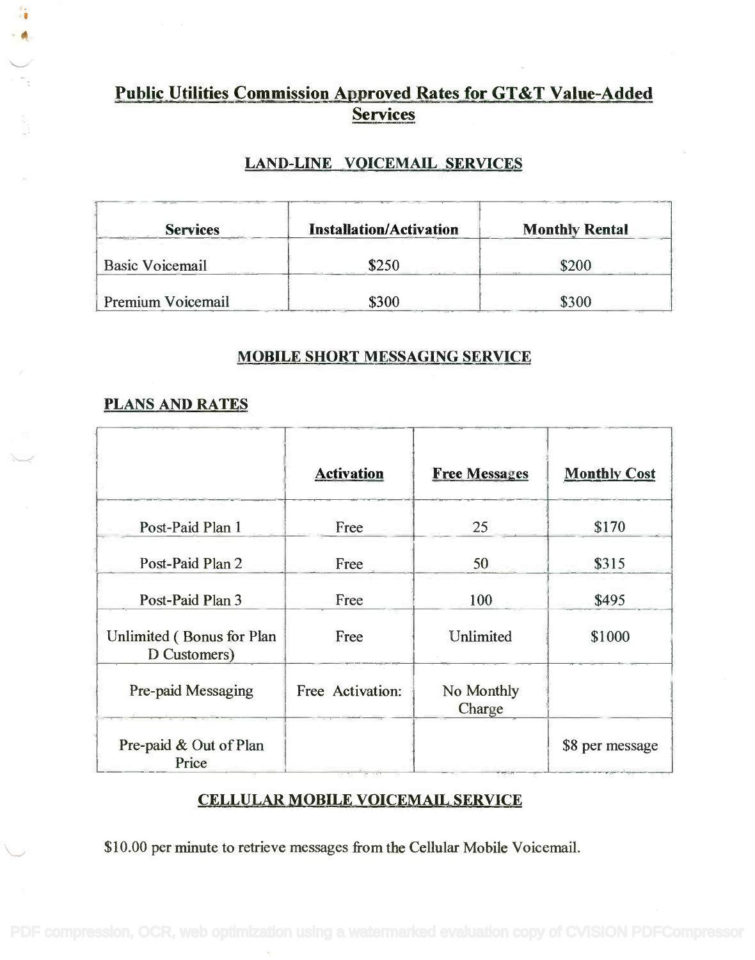## Public Utilities Commission Approved Rates for GT&T Value-Added **Public Utilities Commission Approved Rates for GT&T Value-Added** Services **Services**

### LAND-LINE VOICEMAIL SERVICES

| <b>Services</b>        | <b>Installation/Activation</b>    | <b>Monthly Rental</b> |
|------------------------|-----------------------------------|-----------------------|
| <b>Basic Voicemail</b> | \$250                             | \$200                 |
| Premium Voicemail      | \$300<br>$\sim$ $\sim$<br>------- | \$300                 |

### MOBILE SHORT MESSAGING SERVICE

### PLANS AND RATES

÷,

|                                           | <b>Activation</b> | <b>Free Messages</b> | <b>Monthly Cost</b> |
|-------------------------------------------|-------------------|----------------------|---------------------|
| Post-Paid Plan 1                          | Free              | 25                   | \$170               |
| Post-Paid Plan 2                          | Free              | 50                   | \$315               |
| Post-Paid Plan 3                          | Free              | 100                  | \$495               |
| Unlimited (Bonus for Plan<br>D Customers) | Free              | Unlimited            | \$1000              |
| Pre-paid Messaging                        | Free Activation:  | No Monthly<br>Charge |                     |
| Pre-paid & Out of Plan<br>Price           |                   |                      | \$8 per message     |

## CELLULAR MOBILE VOICEMAIL SERVICE

\$10.00 per minute to retrieve messages from the Cellular Mobile Voicemail.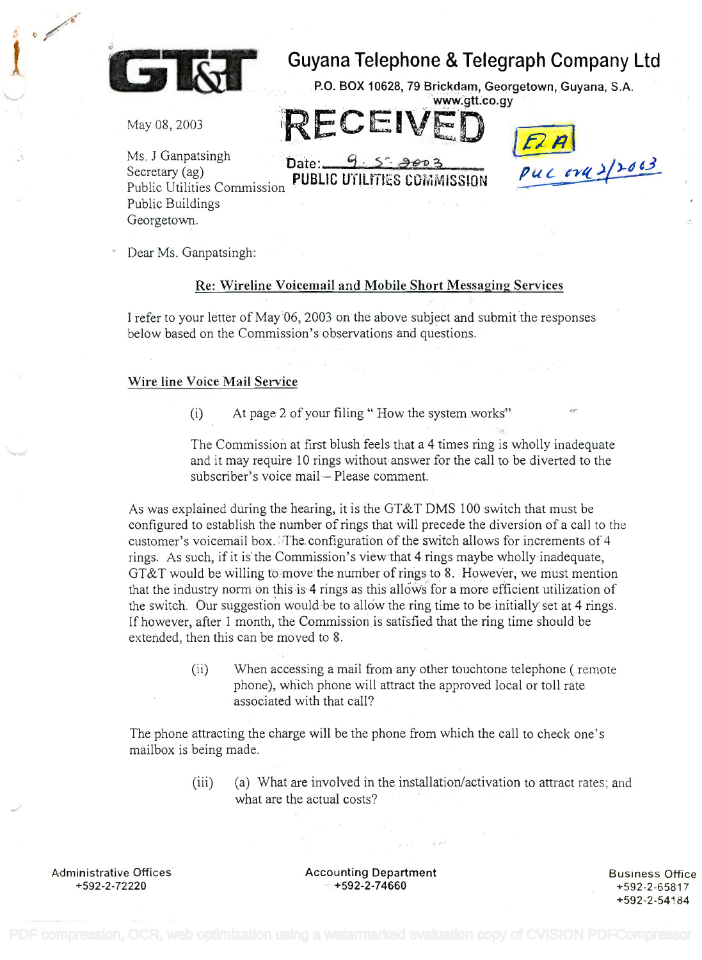

# Guyana Telephone & Telegraph Company Ltd Guyana Telephone & Telegraph Company Ltd

P.O. BOX 10628, 79 Brickdam, Georgetown, Guyana, S.A. China [www.gtt.co.gy](http://.www.gtt;co.gy)

May 08, 2003

Ms. J Ganpatsingh Date:  $9.5$   $\rightarrow$   $903$ Secretary (ag) Public Buildings Public Buildings Georgetown. Georgetown. Public Utilities Commission ~

Secretary (ag) **PUBLIC UTILITIES COMMISSION** *Pul end of 2/2002* Ms. J Ganpatsingh **Date:** 9: 5: <del>2003</del><br>Secretary (ag) **Different Contact on Pull and Different Pull** *Cyll* **2/2003** 

RECEIVED **IEA** 

Dear Ms. Ganpatsingh:

#### Re: Wireline Voicemail and Mobile Short Messaging Services

I refer to your letter of May 06, 2003 on the above subject and submit the responses I refer to your letter of May 06, 2003 on the above subject and submit the responses below based on the Commission's observations and questions. below based on the Commission's observations and questions.

### Wire line Voice Mail Service

(i) At page 2 of your filing " How the system works"

The Commission at first blush feels that a 4 times ring is wholly inadequate The Commission at first blush feels that a 4 times ring is wholly inadequate and it may require 10 rings without answer for the call to be diverted to the and it may require 10 rings without answer for the call to be diverted to the subscriber's voice mail Please comment. subscriber's voice mail- Please comment.

As was explained during the hearing, it is the GT&T DMS 100 switch that must be configured to establish the number of rings that will precede the diversion of a call to the configured to establish the number of rings that will precede the diversion of a call to the customer's voicemail box. The configuration of the switch allows for increments of 4 rings. As such, if it is the Commission's view that 4 rings maybe wholly inadequate, rings, As such, if it is the' Commission's view that 4 rings maybe wholly inadequate, GT&T would be willing to move the number of rings to 8. However, we must mention GT&T would be willing to,'movethe number of rings to 8. However, we must mention that the industry norm on this is 4 rings as this allows for a more efficient utilization of the switch. Our suggestion would be to allow the ring time to be initially set at 4 rings. If however, after 1 month, the Commission is satisfied that the ring time should be If however, after 1 month, the Commission is satisfied that the ring time should be extended, then this can be moved to 8. extended, then this can be moved to 8.

> (ii) When accessing a mail from any other touchtone telephone ( remote (ii) When accessing a mail from any other touchtone telephone ( remote phone), which phone will attract the approved local or toll rate phone), which phone will attract the approved local or toll rate associated with that call? associated with that call?

The phone attracting the charge will be the phone from which the call to check one's The phone attracting the charge will be the phone from which the call to check one's mailbox is being made. mailbox is being made.

> (iii) (a) What are involved in the installation/activation to attract rates; and (iii) (a) What are involved in the installation/activation to attract rates; and what are the actual costs?

Administrative Offices +592-2-72220

Administrative Offices **Accounting Department** +592-2-72220 +592-2-74660 - +592-2-74660

Business Office Business Office +592-2-65817 +592-2-65817 +592-2-54184 +592-2-54184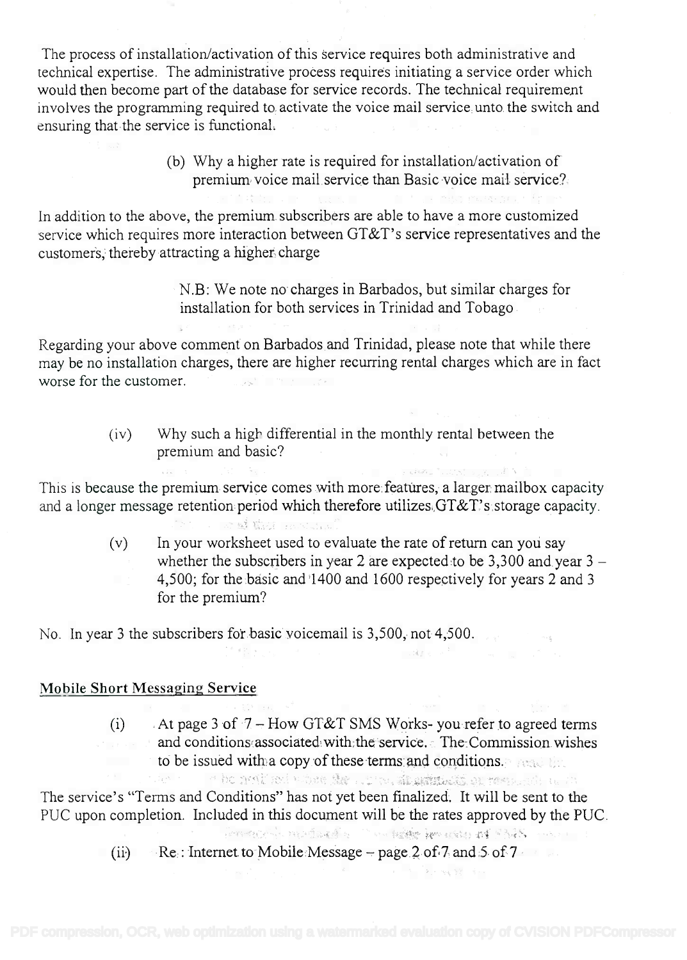The process of installation/activation of this service requires both administrative and The process of installation/activation of this service requires both administrative and technical expertise. The administrative process requires initiating a service order which technical expertise. The administrative process requires initiating a service order which would then become part of the database for service records. The technical requirement would then become part of the database for service records. The technical requirement involves the programming required to activate the voice mail service unto the switch and involves the programming required to activate the voice mail service unto the switch and ensuring that the service is functional. ensuring that the service is functional.

> (b) Why a higher rate is required for installation/activation of (b) Why a higher rate is required for installation/activation of premium voice mail service than Basic voice mail service? premium voice mail.service than Basic voice mail service?

In addition to the above, the premium subscribers are able to have a more customized In addition to the above, the premium subscribers are able to have a more customized service which requires more interaction between  $\text{GT\&T}\text{'s}$  service representatives and the customers, thereby attracting a higher charge customers, thereby attracting a higher-charge

> N.B: We note no charges in Barbados, but similar charges for N.B: We note no charges in Barbados, but similar charges for installation for both services in Trinidad and Tobago installation for both services in Trinidad and Tobago

Regarding your above comment on Barbados and Trinidad, please note that while there Regarding your above comment on Barbados and Trinidad, please note that while there may be no installation charges, there are higher recurring rental charges which are in fact may be no installation charges, there are higher recurring rental charges which are in fact worse for the customer. worse for the customer. '

> $(iv)$  Why such a high differential in the monthly rental between the premium and basic? premium and basic?

This is because the premium service comes with more features, a larger mailbox capacity This is because the premium service comes with more features, a larger. mailbox capacity and a longer message retention period which therefore utilizes GT&T's storage capacity.

> (v) In your worksheet used to evaluate the rate of return can you say (v) In your worksheet used to evaluate the rate of return can yoli say whether the subscribers in year 2 are expected to be 3,300 and year  $3$  -4,500; for the basic and 1400 and 1600 respectively for years 2 and 3 4,500; for the basic and '1400 and 1600 respectively for years 2 and 3 for the premium? for the premium?

No. In year 3 the subscribers for basic voicemail is 3,500, not 4,500.

**STERN AND ANNUAL PROVIDER** 

### Mobile Short Messaging Service

(i) At page 3 of  $7 - How GT&T$  SMS Works-you refer to agreed terms and conditions associated with the service. The Commission wishes to be issued with a copy of these terms and conditions. . to be issued with·a copy of these terms and co~ditions. .::.. ':.

in guardian The service's "Terms and Conditions" has not yet been finalized. It will be sent to the The service's "Terms and Conditions" has not yet been finalized. It will be sent to the PUC upon completion. Included in this document will be the rates approved by the PUC.

(ii) Re: Internet to Mobile Message – page 2 of 7 and 5 of 7

I am prove se dos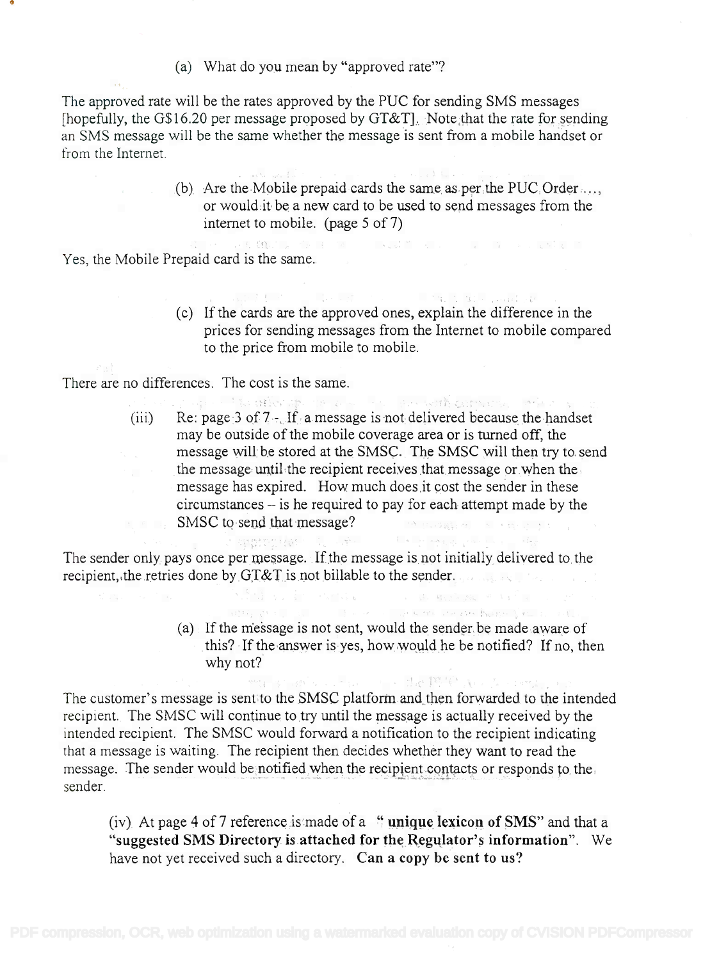(a) What do you mean by "approved rate"?

The approved rate will be the rates approved by the PUC for sending SMS messages The approved rate will be the rates approved by the PUC for sending SMS messages [hopefully, the G\$16.20 per message proposed by GT&T]. Note that the rate for sending an SMS message will be the same whether the message is sent from a mobile handset or an SMS message will be the same whether the message is sent from a mobile handset or from the Internet. from the Internet.

> (b) Are the Mobile prepaid cards the same as per the PUC Order ... , or would it be a new card to be used to send messages from the or would:it be a new card to be used to send messages from the internet to mobile. (page 5 of 7) internet to mobile. (page 5 of 7)

Yes, the Mobile Prepaid card is the same.

(c) If the cards are the approved ones, explain the difference in the (c) If the cards are the approved ones, explain the difference in the prices for sending messages from the Internet to mobile compared prices for sending messages from the Internet to mobile compared to the price from mobile to mobile. to the price from mobile to mobile.

and the offered to a service with company of the se-

There are no differences. The cost is the same.

(iii) Re: page 3 of  $7 -$ . If a message is not delivered because the handset may be outside of the mobile coverage area or is turned off, the may be outside ofthe mobile coverage area or is turned off, the message will be stored at the SMSC. The SMSC will then try to send the message until the recipient receives that message or when the the message until.the recipient receives that message or.when the message has expired. How much does,it cost the sender in these message has expired. How much does.it cost the sender in these circumstances – is he required to pay for each attempt made by the SMSC to send that message? SMSC to send that message?

The sender only pays once per message. If the message is not initially delivered to the recipient, the retries done by GT&T is not billable to the sender.

 $\sim$  jeans and  $\sim$ 

(a) If the message is not sent, would the sender. be made aware of (a) If the rriessage is not sent, would the sender. be made aware of this? If the answer is yes, how would he be notified? If no, then why not? why not?

in 1971, and the companies of the companies of the companies of the companies of the companies of the companies of the companies of the companies of the companies of the companies of the companies of the companies of the c

The customer's message is sent to the SMSC platform and then forwarded to the intended The customer's message is sent to the SMSC platform and,then forwarded to the intended recipient. The SMSC will continue to try until the message is actually received by the recipient. The SMSC will continue to try until the message is actually received by the intended recipient. The SMSC would forward a notification to the recipient indicating intended recipient. The SMSC would forward a notification to the recipient indicating that a message is waiting. The recipient then decides whether they want to read the message. The sender would be notified when the recipient contacts or responds to the sender.

(iv) At page 4 of 7 reference is made of a " **unique lexicon of SMS**" and that a "suggested SMS Directory is attached for the Regulator's information". We have not yet received such a directory. Can a copy be sent to us?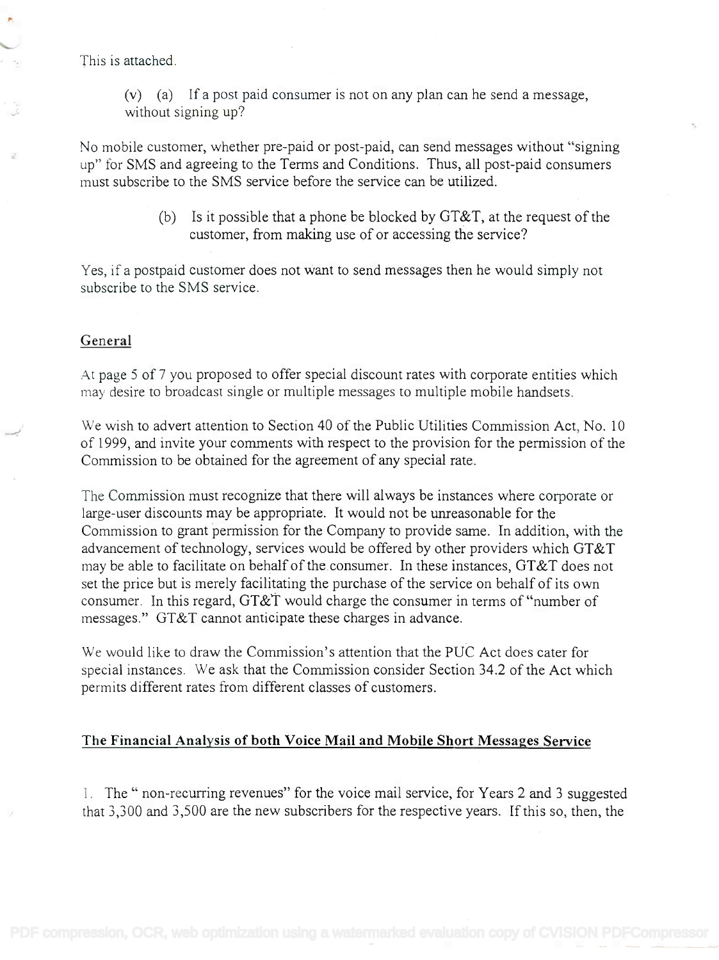This is attached.

(v) (a) If a post paid consumer is not on any plan can he send a message, (v) (a) If a post paid consumer is not on any plan can he send a message, without signing up? without signing up?

No mobile customer, whether pre-paid or post-paid, can send messages without "signing No mobile customer, whether pre-paid or post-paid, can send messages without "signing up" for SMS and agreeing to the Terms and Conditions. Thus, all post-paid consumers up" for SMS and agreeing to the Terms and Conditions. Thus, all post-paid consumers must subscribe to the SMS service before the service can be utilized. must subscribe to the SMS service before the service can be utilized.

> (b) Is it possible that a phone be blocked by GT&T, at the request of the (b) Is it possible that a phone be blocked by GT&T, at the request of the customer, from making use of or accessing the service? customer, from making use of or accessing the service?

Yes, if a postpaid customer does not want to send messages then he would simply not Yes, if a postpaid customer does not want to send messages then he would simply not subscribe to the SMS service. subscribe to the SMS service.

#### General

At page 5 of 7 you proposed to offer special discount rates with corporate entities which At page 5 of 7 you proposed to offer special discount rates with corporate entities which may desire to broadcast single or multiple messages to multiple mobile handsets. may desire to broadcast single or multiple messages to multiple mobile handsets.

We wish to advert attention to Section 40 of the Public Utilities Commission Act, No. 10 We wish to advert attention to Section 40 of the Public Utilities Commission Act, No.1 0 of 1999, and invite your comments with respect to the provision for the permission of the of 1999, and invite your comments with respect to the provision for the permission of the Commission to be obtained for the agreement of any special rate. Commission to be obtained for the agreement of any special rate.

The Commission must recognize that there will always be instances where corporate or The Commission must recognize that there will always be instances where corporate or large-user discounts may be appropriate. It would not be unreasonable for the large-user discounts may be appropriate. It would not be unreasonable for the Commission to grant permission for the Company to provide same. In addition, with the Commission to grant permission for the Company to provide same. In addition, with the advancement of technology, services would be offered by other providers which GT&T advancement of technology, services would be offered by other providers which GT&T may be able to facilitate on behalf of the consumer. In these instances, GT&T does not set the price but is merely facilitating the purchase of the service on behalf of its own set the price but is merely facilitating the purchase of the service on behalf of its own consumer. In this regard, GT&T would charge the consumer in terms of "number of messages." GT&T cannot anticipate these charges in advance. messages." GT&T cannot anticipate these charges in advance.

We would like to draw the Commission's attention that the PUC Act does cater for We would like to draw the Commission's attention that the PUC Act does cater for special instances. We ask that the Commission consider Section 34.2 of the Act which special instances. We ask that the Commission consider Section 34.2 of the Act which permits different rates from different classes of customers. permits different rates from different classes of customers.

### The Financial Analysis of both Voice Mail and Mobile Short Messages Service

1. The " non-recurring revenues" for the voice mail service, for Years 2 and 3 suggested I. The" non-recurring revenues" for the voice mail service, for Years 2 and 3 suggested that 3,300 and 3,500 are the new subscribers for the respective years. If this so, then, the that 3,300 and 3,500 are the new subscribers for the respective years. If this so, then, the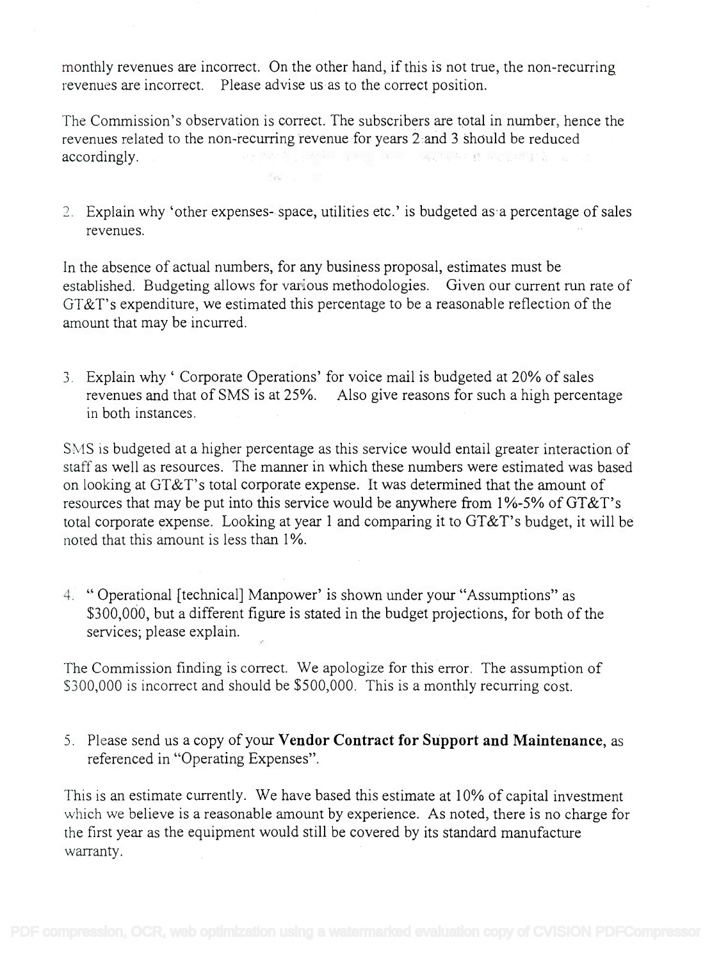monthly revenues are incorrect. On the other hand, if this is not true, the non-recurring monthly revenues are incorrect. On the other hand, if this is not true, the non-recurring revenues are incorrect. Please advise us as to the correct position. revenues are incorrect. Please advise us as to the correct position.

The Commission's observation is correct. The subscribers are total in number, hence the The Commission's observation is correct. The subscribers are total in number, hence the revenues related to the non-recurring revenue for years 2 and 3 should be reduced The second property of the second second second second second second second second second second second second second second second second second second second second second second second second second second second second accordingly. accordingly.

 $\mathbb{F}_{q_{m}}$  .

2. Explain why 'other expenses- space, utilities etc.' is budgeted as a percentage of sales 2. Explain why' other expenses- space, utilities etc.' is budgeted as a percentage of sales revenues. revenues.

In the absence of actual numbers, for any business proposal, estimates must be In the absence of actual numbers, for any business proposal, estimates must be established. Budgeting allows for various methodologies. Given our current run rate of GT&T's expenditure, we estimated this percentage to be a reasonable reflection of the GT&T's expenditure, we estimated this percentage to be a reasonable reflection of the amount that may be incurred. amount that may be incurred.

3. Explain why ' Corporate Operations' for voice mail is budgeted at 20% of sales 3. Explain why' Corporate Operations' for voice mail is budgeted at 20% of sales revenues and that of SMS is at 25%. Also give reasons for such a high percentage revenues and that of SMS is at 25%. Also give reasons for such a high percentage in both instances. in both instances.

SMS is budgeted at a higher percentage as this service would entail greater interaction of 3M3 is budgeted at a higher percentage as this service would entail greater interaction of staff as well as resources. The manner in which these numbers were estimated was based on looking at GT&T's total corporate expense. It was determined that the amount of resources that may be put into this service would be anywhere from 1%-5% of GT&T's total corporate expense. Looking at year 1 and comparing it to GT&T's budget, it will be total corporate expense. Looking at year 1 and comparing it to GT&T' s budget, it will be noted that this amount is less than 1%. noted that this amount is less than 1%.

4. " Operational [technical] Manpower' is shown under your "Assumptions" as 4. "Operational [technical] Manpower' is shown under your "Assumptions" as \$300,000, but a different figure is stated in the budget projections, for both of the \$300,000, but a different figure is stated in the budget projections, for both of the services; please explain. services; please explain.

The Commission finding is correct. We apologize for this error. The assumption of The Commission finding is correct. We apologize for this error. The assumption of S300,000 is incorrect and should be \$500,000. This is a monthly recurring cost. \$300,000 is incorrect and should be \$500,000. This is a monthly recurring cost.

5. Please send us a copy of your Vendor Contract for Support and Maintenance, as 5. Please send us a copy of your **Vendor Contract for Support and Maintenance,** as referenced in "Operating Expenses". referenced in "Operating Expenses".

This is an estimate currently. We have based this estimate at 10% of capital investment This is an estimate currently. We have based this estimate at 10% of capital investment which we believe is a reasonable amount by experience. As noted, there is no charge for which we believe is a reasonable amount by experience. As noted, there is no charge for the first year as the equipment would still be covered by its standard manufacture the first year as the equipment would still be covered by its standard manufacture warranty. warranty.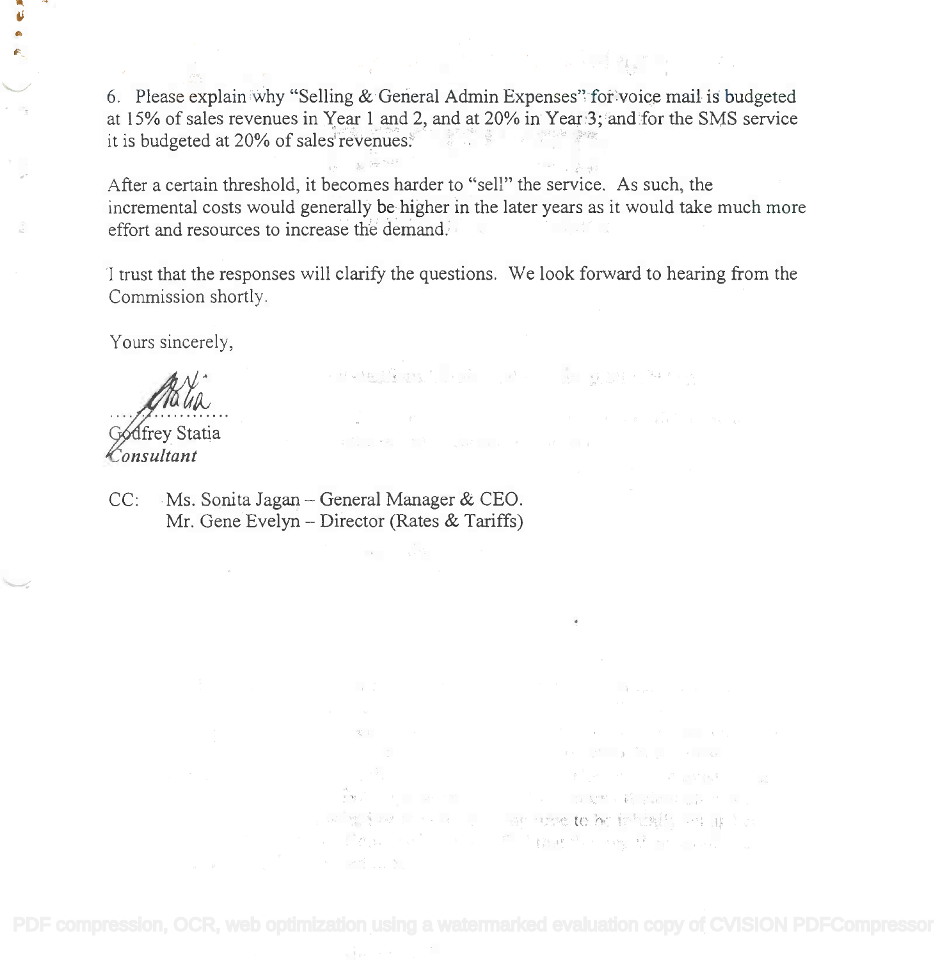6. Please explain why "Selling & General Admin Expenses" for voice mail is budgeted at 15% of sales revenues in Year 1 and 2, and at 20% in Year 3; and for the SMS service at 15% of sales revenues in Year 1 and 2, and at 20% in Year '3; and for the SMS service it is budgeted at 20% of sales revenues. The same state of sales is a set of sales in the same state of sales

After a certain threshold, it becomes harder to "sell" the service. As such, the After a certain threshold, it becomes harder to "sell" the service. As such, the incremental costs would generally be higher in the later years as it would take much more incremental costs would generally be higher in the later years as it would take much more effort and resources to increase the demand. effort and resources to increase the demand.

I trust that the responses will clarify the questions. We look forward to hearing from the I trust that the responses will clarify the questions. We look forward to hearing from the Commission shortly. Commission shortly,

PRINCIPAL PART AND MANY

 $\mathcal{A}(\mathcal{S}) = \begin{bmatrix} \mathcal{S}^{\mathcal{A}} & \mathcal{S}^{\mathcal{A}} \\ \mathcal{S}^{\mathcal{A}} & \mathcal{S}^{\mathcal{A}} \end{bmatrix} \begin{bmatrix} \mathcal{S}^{\mathcal{A}} \\ \mathcal{S}^{\mathcal{A}} \end{bmatrix} = \begin{bmatrix} \mathcal{S}^{\mathcal{A}} \\ \mathcal{S}^{\mathcal{A}} \end{bmatrix} \begin{bmatrix} \mathcal{S}^{\mathcal{A}} \\ \mathcal{S}^{\mathcal{A}} \end{bmatrix}$ and the state of the state of the state of the state of the state of the state of the state of the state of the 

STORY ARE STORY AND THE STORY OF THE

that provide the same to be feltingly better to

Yours sincerely,

irev Statia onsultant

CC: Ms. Sonita Jagan - General Manager & CEO. Mr. Gene Evelyn - Director (Rates & Tariffs)

the same of the same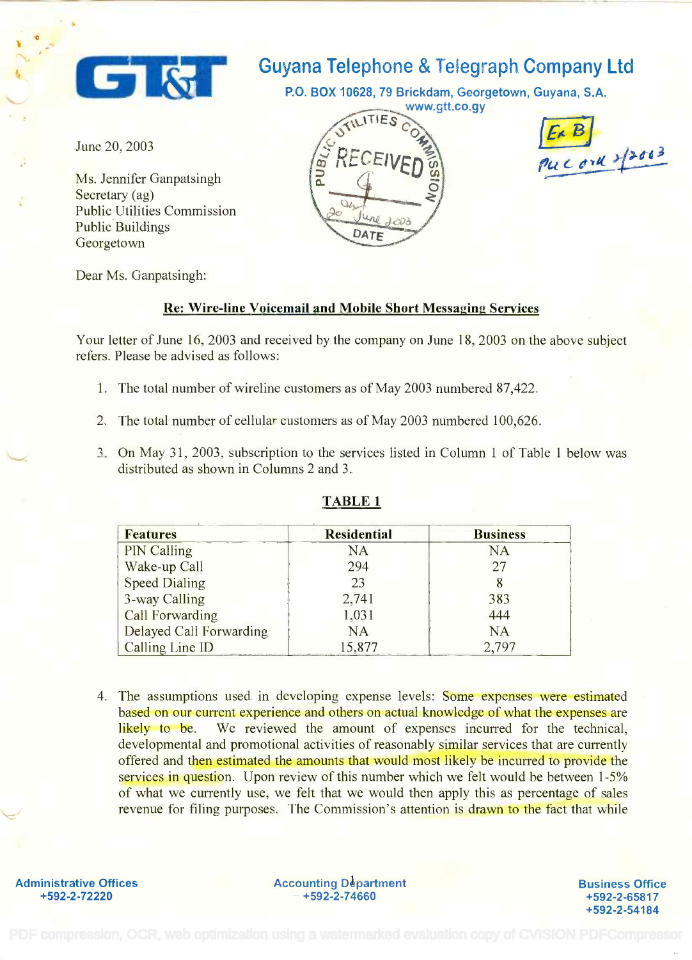

# Guyana Telephone & Telegraph Company Ltd

P.O. BOX 10628, 79 Brickdam, Georgetown, Guyana, S.A.

June 20, 2003

Ms. Jennifer Ganpatsingh Ms. Jennifer Ganpatsingh Secretary (ag) Public Utilities Commission Public Utilities Commission Public Buildings Public Buildings Georgetown Georgetown

Dear Ms. Ganpatsingh:

### Re: Wire-line Voicemail and Mobile Short Messaging Services

Your letter of June 16, 2003 and received by the company on June 18, 2003 on the above subject refers. Please be advised as follows: refers. Please be advised as follows:

- 1. The total number of wireline customers as of May 2003 numbered 87,422.
- 2. The total number of cellular customers as of May 2003 numbered 100,626.
- 3. On May 31, 2003, subscription to the services listed in Column 1 of Table 1 below was 3. On May 31, 2003, subscription to the services listed in Column 1 of Table 1 below was distributed as shown in Columns 2 and 3. distributed as shown in Columns 2 and 3.

| <b>Features</b>         | <b>Residential</b> | <b>Business</b> |
|-------------------------|--------------------|-----------------|
| <b>PIN Calling</b>      | NA                 | <b>NA</b>       |
| Wake-up Call            | 294                | 27              |
| <b>Speed Dialing</b>    | 23                 |                 |
| 3-way Calling           | 2,741              | 383             |
| <b>Call Forwarding</b>  | 1,031              | 444             |
| Delayed Call Forwarding | NA                 | <b>NA</b>       |
| Calling Line ID         | 15,877             | 2.797           |

### TABLE 1

4. The assumptions used in developing expense levels: Some expenses were estimated 4. The assumptions used in developing expense levels: Some expenses were estimated based on our current experience and others on actual knowledge of what the expenses are based on our current experience and others on actual knowledge of what the expenses are likely to be. We reviewed the amount of expenses incurred for the technical, developmental and promotional activities of reasonably similar services that are currently developmental and promotional activities of reasonably similar services that are currently offered and then estimated the amounts that would most likely be incurred to provide the services in question. Upon review of this number which we felt would be between 1-5% services in question. Upon review of this number which we felt would be between 1-5% of what we currently use, we felt that we would then apply this as percentage of sales of what we currently use, we felt that we would then apply this as percentage of sales revenue for filing purposes. The Commission's attention is drawn to the fact that while

**Administrative Offices**

Administrative Offices **Accounting Department** +592-2-72220 +592-2-74660 **+592-2-72220 -+592-2-74660**

Business Office **Business Office** +592-2-65817 **+592-2-65817** +592-2-54184 **+592-2-54184**



 $\mathbf{B}$  $C$  ork  $2^{3003}$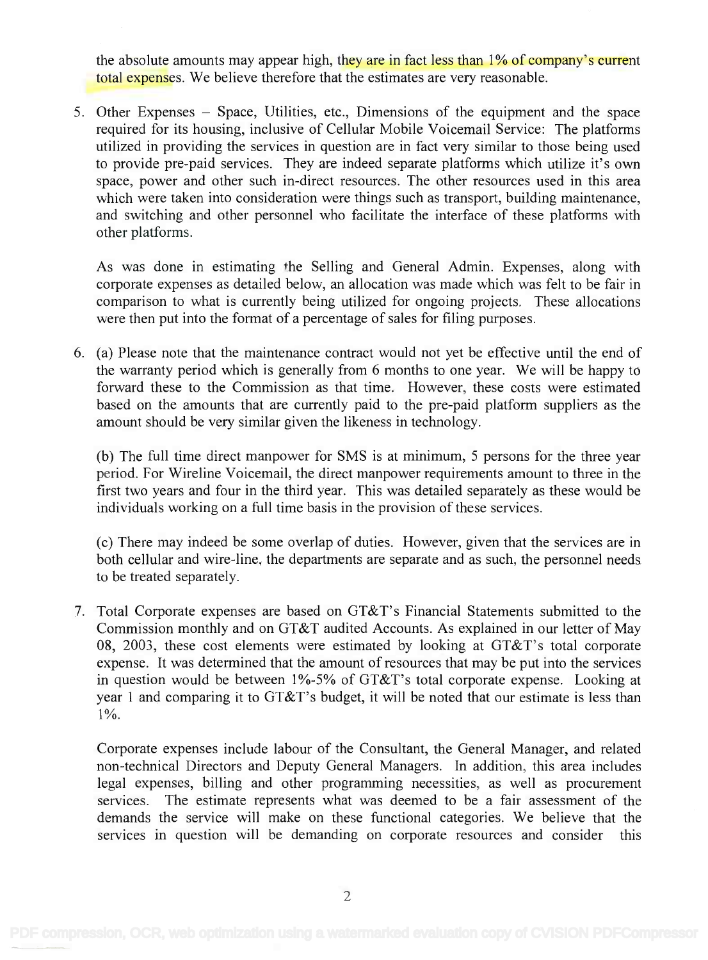the absolute amounts may appear high, they are in fact less than 1% of company's current total expenses. We believe therefore that the estimates are very reasonable. total expenses. We believe therefore that the estimates are very reasonable.

5. Other Expenses – Space, Utilities, etc., Dimensions of the equipment and the space required for its housing, inclusive of Cellular Mobile Voicemail Service: The platforms required for its housing, inclusive of Cellular Mobile Voicemail Service: The platforms utilized in providing the services in question are in fact very similar to those being used utilized in providing the services in question are in fact very similar to those being used to provide pre-paid services. They are indeed separate platforms which utilize it's own to provide pre-paid services. They are indeed separate platforms which utilize it's own space, power and other such in-direct resources. The other resources used in this area space, power and other such in-direct resources. The other resources used in this area which were taken into consideration were things such as transport, building maintenance, which were taken into consideration were things such as transport, building maintenance, and switching and other personnel who facilitate the interface of these platforms with and switching and other personnel who facilitate the interface of these platforms with other platforms. other platforms.

As was done in estimating the Selling and General Admin. Expenses, along with As was done in estimating he Selling and General Admin. Expenses, along with corporate expenses as detailed below, an allocation was made which was felt to be fair in corporate expenses as detailed below, an allocation was made which was felt to be fair in comparison to what is currently being utilized for ongoing projects. These allocations comparison to what is currently being utilized for ongoing projects. These allocations were then put into the format of a percentage of sales for filing purposes. were then put into the format of a percentage of sales for filing purposes.

6. (a) Please note that the maintenance contract would not yet be effective until the end of 6. (a) Please note that the maintenance contract would not yet be effective until the end of the warranty period which is generally from 6 months to one year. We will be happy to the warranty period which is generally from 6 months to one year. We will be happy to forward these to the Commission as that time. However, these costs were estimated forward these to the Commission as that time. However, these costs were estimated based on the amounts that are currently paid to the pre-paid platform suppliers as the based on the amounts that are currently paid to the pre-paid platform suppliers as the amount should be very similar given the likeness in technology. amount should be very similar given the likeness in technology.

(b) The full time direct manpower for SMS is at minimum, 5 persons for the three year (b) The full time direct manpower for SMS is at minimum, 5 persons for the three year period. For Wireline Voicemail, the direct manpower requirements amount to three in the first two years and four in the third year. This was detailed separately as these would be first two years and four in the third year. This was detailed separately as these would be individuals working on a full time basis in the provision of these services. individuals working on a full time basis in the provision of these services.

(c) There may indeed be some overlap of duties. However, given that the services are in (c) There may indeed be some overlap of duties. However, given that the services are in both cellular and wire-line, the departments are separate and as such, the personnel needs both cellular and wire-line, the departments are separate and as such, the personnel needs to be treated separately. to be treated separately.

7. Total Corporate expenses are based on GT&T's Financial Statements submitted to the 7. Total Corporate expenses are based on GT&T's Financial Statements submitted to the Commission monthly and on GT&T audited Accounts. As explained in our letter of May Commission monthly and on GT&T audited Accounts. As explained in our letter of May 08, 2003, these cost elements were estimated by looking at GT&T's total corporate 08, 2003, these cost elements were estimated by looking at GT&T's total corporate expense. It was determined that the amount of resources that may be put into the services expense. It was determined that the amount of resources that may be put into the services in question would be between 1%-5% of GT&T's total corporate expense. Looking at year 1 and comparing it to GT&T's budget, it will be noted that our estimate is less than year 1 and comparing it to GT&T's budget, it will be noted that our estimate is less than 1%. 1%.

Corporate expenses include labour of the Consultant, the General Manager, and related Corporate expenses include labour of the Consultant, the General Manager, and related non-technical Directors and Deputy General Managers. In addition, this area includes non-technical Directors and Deputy General Managers. In addition, this area includes legal expenses, billing and other programming necessities, as well as procurement legal expenses, billing and other programming necessities, as well as procurement services. The estimate represents what was deemed to be a fair assessment of the services. The estimate represents what was deemed to be a fair assessment of the demands the service will make on these functional categories. We believe that the demands the service will make on these functional categories. We believe that the services in question will be demanding on corporate resources and consider this services in question will be demanding on corporate resources and consider this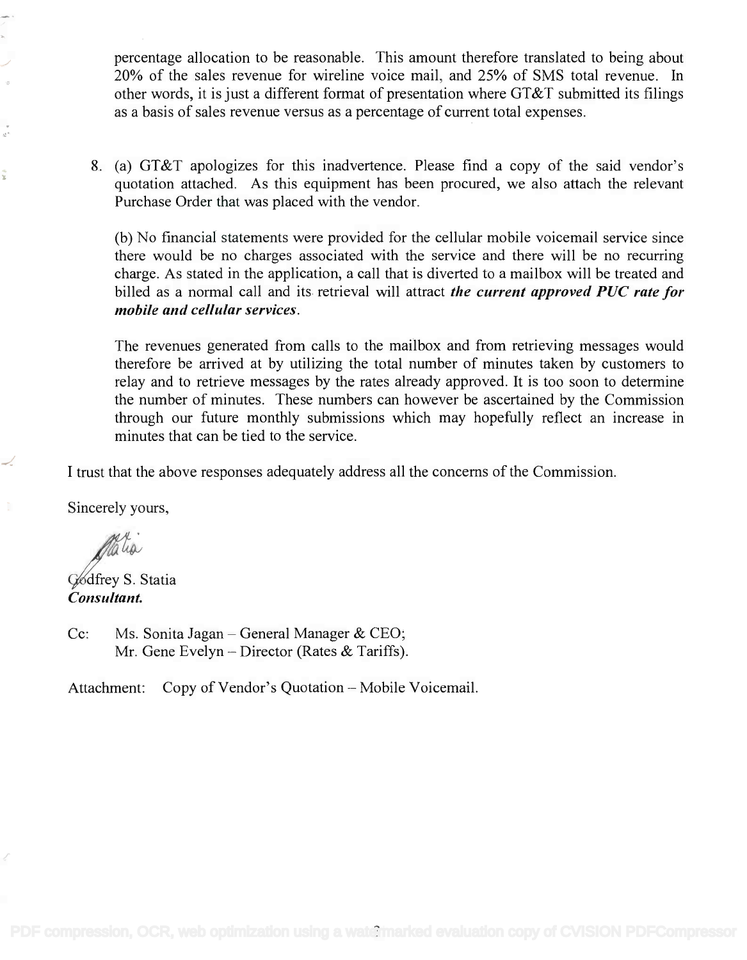percentage allocation to be reasonable. This amount therefore translated to being about percentage allocation to be reasonable. This amount therefore translated to being about 20% of the sales revenue for wireline voice mail, and 25% of SMS total revenue. In 20% of the sales revenue for wireline voice mail, and 25% of SMS total revenue. In other words, it is just a different format of presentation where GT&T submitted its filings other words, it is just a different format of presentation where GT&T submitted its filings as a basis of sales revenue versus as a percentage of current total expenses. as a basis of sales revenue versus as a percentage of current total expenses.

8. (a) GT&T apologizes for this inadvertence. Please find a copy of the said vendor's 8. (a) GT&T apologizes for this inadvertence. Please find a copy of the said vendor's quotation attached. As this equipment has been procured, we also attach the relevant quotation attached. As this equipment has been procured, we also attach the relevant Purchase Order that was placed with the vendor. Purchase Order that was placed with the vendor.

(b) No financial statements were provided for the cellular mobile voicemail service since (b) No financial statements were provided for the cellular mobile voicemail service since there would be no charges associated with the service and there will be no recurring there would be no charges associated with the service and there will be no recurring charge. As stated in the application, a call that is diverted to a mailbox will be treated and charge. As stated in the application, a call that is diverted to a mailbox will be treated and billed as a normal call and its retrieval will attract the current approved PUC rate for billed as a normal call and its retrieval will attract *the current approved PUC rate for* mobile and cellular services. *mobile and cellular services.*

The revenues generated from calls to the mailbox and from retrieving messages would The revenues generated from calls to the mailbox and from retrieving messages would therefore be arrived at by utilizing the total number of minutes taken by customers to therefore be arrived at by utilizing the total number of minutes taken by customers to relay and to retrieve messages by the rates already approved. It is too soon to determine relay and to retrieve messages by the rates already approved. It is too soon to determine the number of minutes. These numbers can however be ascertained by the Commission the number of minutes. These numbers can however be ascertained by the Commission through our future monthly submissions which may hopefully reflect an increase in through our future monthly submissions which may hopefully reflect an increase in minutes that can be tied to the service. minutes that can be tied to the service.

I trust that the above responses adequately address all the concerns of the Commission.

Sincerely yours,

ON alia

G⁄odfrey S. Statia Consultant. *Consultant.*

Cc: Ms. Sonita Jagan – General Manager & CEO; Mr. Gene Evelyn – Director (Rates & Tariffs).

Attachment: Copy of Vendor's Quotation - Mobile Voicemail.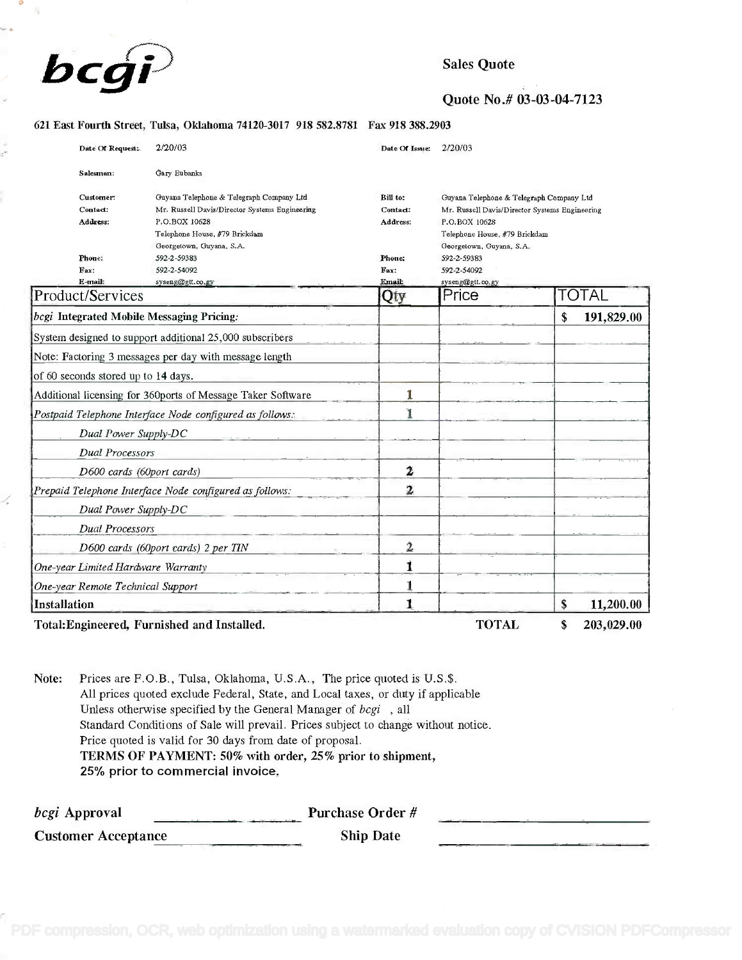

Quote No.# 03-03-04-7123

#### 621 East Fourth Street, Tulsa, Oklahoma 74120-3017 918 582.8781 Fax 918 388.2903

| Date Of Request:                          | 2/20/03                                                     | 2/20/03<br>Date Of Issue: |                                                |                  |  |
|-------------------------------------------|-------------------------------------------------------------|---------------------------|------------------------------------------------|------------------|--|
| Salesman:                                 | Gary Eubanks                                                |                           |                                                |                  |  |
| Customer:                                 | Guyana Telephone & Telegraph Company Ltd                    | Bill to:                  | Guyana Telephone & Telegraph Company Ltd       |                  |  |
| Contact:                                  | Mr. Russell Davis/Director Systems Engineering              | Contact:                  | Mr. Russell Davis/Director Systems Engineering |                  |  |
| <b>Address:</b>                           | P.O.BOX 10628                                               | Address:                  | P.O.BOX 10628<br>Telephone House, #79 Brickdam |                  |  |
|                                           | Telephone House, #79 Brickdam                               |                           |                                                |                  |  |
|                                           | Georgetown, Guyana, S.A.                                    |                           | Georgetown, Guyana, S.A.                       |                  |  |
| Phone:                                    | 592-2-59383                                                 | Phone:                    | 592-2-59383                                    |                  |  |
| Fax:                                      | 592-2-54092                                                 | Fax:                      | 592-2-54092                                    |                  |  |
| E-mail:                                   | syseng@gtt.co.gy                                            | Email:                    | syseng@gtt.co.gy                               |                  |  |
| Product/Services                          |                                                             | Qty                       | Price                                          | <b>TOTAL</b>     |  |
| bcgi Integrated Mobile Messaging Pricing: |                                                             |                           |                                                | 191,829.00<br>\$ |  |
|                                           | System designed to support additional 25,000 subscribers    |                           |                                                |                  |  |
|                                           | Note: Factoring 3 messages per day with message length      |                           |                                                |                  |  |
| of 60 seconds stored up to 14 days.       |                                                             |                           |                                                |                  |  |
|                                           | Additional licensing for 360ports of Message Taker Software | 1                         |                                                |                  |  |
|                                           | Postpaid Telephone Interface Node configured as follows:    | ľ                         |                                                |                  |  |
| Dual Power Supply-DC                      |                                                             |                           |                                                |                  |  |
| <b>Dual Processors</b>                    |                                                             |                           |                                                |                  |  |
| D600 cards (60port cards)                 |                                                             | $\mathbf{2}$              |                                                |                  |  |
|                                           | Prepaid Telephone Interface Node configured as follows:     | $\overline{\mathbf{2}}$   |                                                |                  |  |
| Dual Power Supply-DC                      |                                                             |                           |                                                |                  |  |
| <b>Dual Processors</b>                    |                                                             |                           |                                                |                  |  |
|                                           | D600 cards (60port cards) 2 per TIN                         | 2                         |                                                |                  |  |
| One-year Limited Hardware Warranty        |                                                             | $\mathbf i$               |                                                |                  |  |
| One-year Remote Technical Support         |                                                             |                           |                                                |                  |  |
| Installation                              |                                                             | 1                         |                                                | \$<br>11,200.00  |  |
|                                           | Total: Engineered, Furnished and Installed.                 |                           | <b>TOTAL</b>                                   | \$<br>203,029.00 |  |

Note: Prices are F.O.B., Tulsa, Oklahoma, U.S.A., The price quoted is U.S.\$. Note: Prices are F.O.B., Tulsa, Oklahoma, U.S.A., The price quoted is U.S.\$. All prices quoted exclude Federal, State, and Local taxes, or duty if applicable All prices quoted exclude Federal, State, and Local taxes, or duty if applicable Unless otherwise specified by the General Manager of *bcgi*, all Standard Conditions of Sale will prevail. Prices subject to change without notice. Standard Conditions of Sale will prevail. Prices subject to change without notice. Price quoted is valid for 30 days from date of proposal. Price quoted is valid for 30 days from date of proposal. TERMS OF PAYMENT: 50% with order, 25% prior to shipment, TERMS OF PAYMENT: 50% with order, 25% prior to shipment, 25% prior to commercial invoice. 25% prior to commercial invoice.

| <i>bcgi</i> Approval       | Purchase Order # |  |
|----------------------------|------------------|--|
| <b>Customer Acceptance</b> | <b>Ship Date</b> |  |